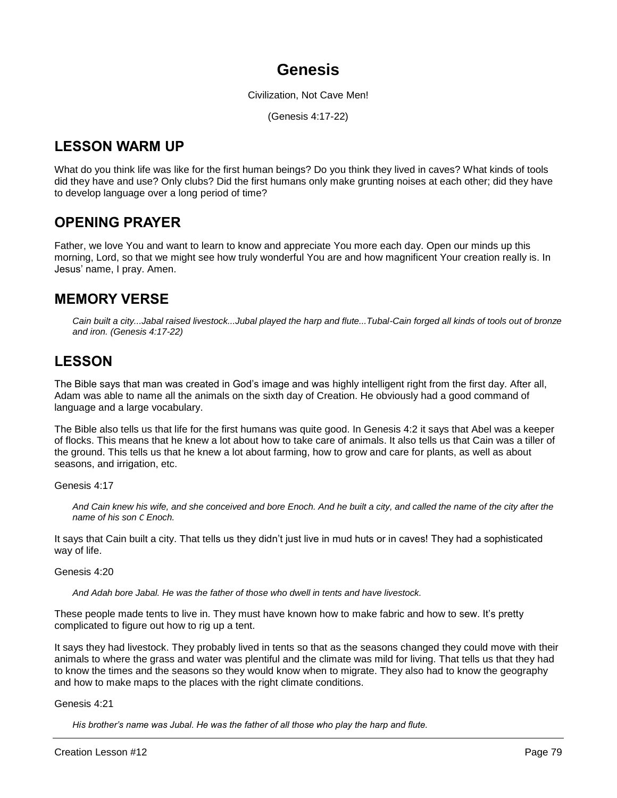# **Genesis**

Civilization, Not Cave Men!

(Genesis 4:17-22)

# **LESSON WARM UP**

What do you think life was like for the first human beings? Do you think they lived in caves? What kinds of tools did they have and use? Only clubs? Did the first humans only make grunting noises at each other; did they have to develop language over a long period of time?

# **OPENING PRAYER**

Father, we love You and want to learn to know and appreciate You more each day. Open our minds up this morning, Lord, so that we might see how truly wonderful You are and how magnificent Your creation really is. In Jesus' name, I pray. Amen.

# **MEMORY VERSE**

*Cain built a city...Jabal raised livestock...Jubal played the harp and flute...Tubal-Cain forged all kinds of tools out of bronze and iron. (Genesis 4:17-22)*

# **LESSON**

The Bible says that man was created in God's image and was highly intelligent right from the first day. After all, Adam was able to name all the animals on the sixth day of Creation. He obviously had a good command of language and a large vocabulary.

The Bible also tells us that life for the first humans was quite good. In Genesis 4:2 it says that Abel was a keeper of flocks. This means that he knew a lot about how to take care of animals. It also tells us that Cain was a tiller of the ground. This tells us that he knew a lot about farming, how to grow and care for plants, as well as about seasons, and irrigation, etc.

Genesis 4:17

And Cain knew his wife, and she conceived and bore Enoch. And he built a city, and called the name of the city after the *name of his son C Enoch.*

It says that Cain built a city. That tells us they didn't just live in mud huts or in caves! They had a sophisticated way of life.

Genesis 4:20

*And Adah bore Jabal. He was the father of those who dwell in tents and have livestock.*

These people made tents to live in. They must have known how to make fabric and how to sew. It's pretty complicated to figure out how to rig up a tent.

It says they had livestock. They probably lived in tents so that as the seasons changed they could move with their animals to where the grass and water was plentiful and the climate was mild for living. That tells us that they had to know the times and the seasons so they would know when to migrate. They also had to know the geography and how to make maps to the places with the right climate conditions.

Genesis 4:21

*His brother's name was Jubal. He was the father of all those who play the harp and flute.*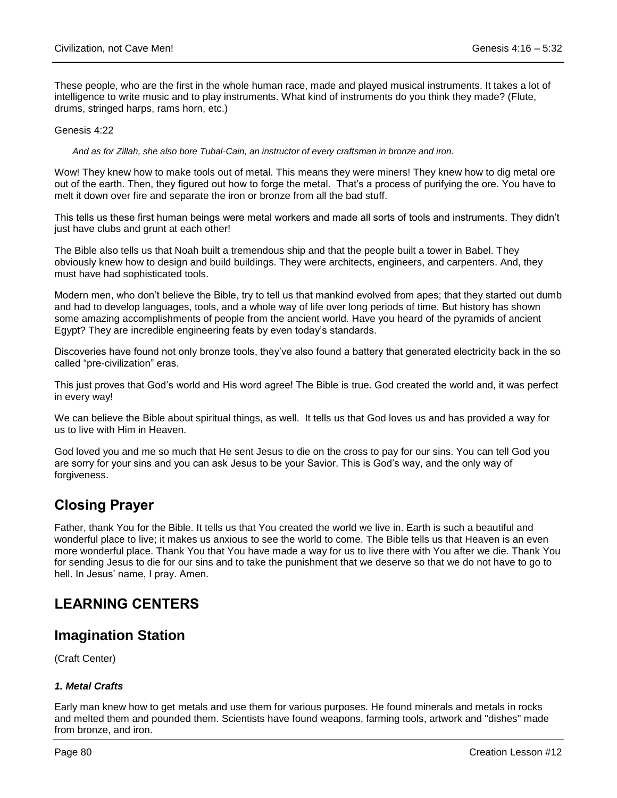These people, who are the first in the whole human race, made and played musical instruments. It takes a lot of intelligence to write music and to play instruments. What kind of instruments do you think they made? (Flute, drums, stringed harps, rams horn, etc.)

#### Genesis 4:22

*And as for Zillah, she also bore Tubal-Cain, an instructor of every craftsman in bronze and iron.*

Wow! They knew how to make tools out of metal. This means they were miners! They knew how to dig metal ore out of the earth. Then, they figured out how to forge the metal. That's a process of purifying the ore. You have to melt it down over fire and separate the iron or bronze from all the bad stuff.

This tells us these first human beings were metal workers and made all sorts of tools and instruments. They didn't just have clubs and grunt at each other!

The Bible also tells us that Noah built a tremendous ship and that the people built a tower in Babel. They obviously knew how to design and build buildings. They were architects, engineers, and carpenters. And, they must have had sophisticated tools.

Modern men, who don't believe the Bible, try to tell us that mankind evolved from apes; that they started out dumb and had to develop languages, tools, and a whole way of life over long periods of time. But history has shown some amazing accomplishments of people from the ancient world. Have you heard of the pyramids of ancient Egypt? They are incredible engineering feats by even today's standards.

Discoveries have found not only bronze tools, they've also found a battery that generated electricity back in the so called "pre-civilization" eras.

This just proves that God's world and His word agree! The Bible is true. God created the world and, it was perfect in every way!

We can believe the Bible about spiritual things, as well. It tells us that God loves us and has provided a way for us to live with Him in Heaven.

God loved you and me so much that He sent Jesus to die on the cross to pay for our sins. You can tell God you are sorry for your sins and you can ask Jesus to be your Savior. This is God's way, and the only way of forgiveness.

# **Closing Prayer**

Father, thank You for the Bible. It tells us that You created the world we live in. Earth is such a beautiful and wonderful place to live; it makes us anxious to see the world to come. The Bible tells us that Heaven is an even more wonderful place. Thank You that You have made a way for us to live there with You after we die. Thank You for sending Jesus to die for our sins and to take the punishment that we deserve so that we do not have to go to hell. In Jesus' name, I pray. Amen.

# **LEARNING CENTERS**

# **Imagination Station**

(Craft Center)

## *1. Metal Crafts*

Early man knew how to get metals and use them for various purposes. He found minerals and metals in rocks and melted them and pounded them. Scientists have found weapons, farming tools, artwork and "dishes" made from bronze, and iron.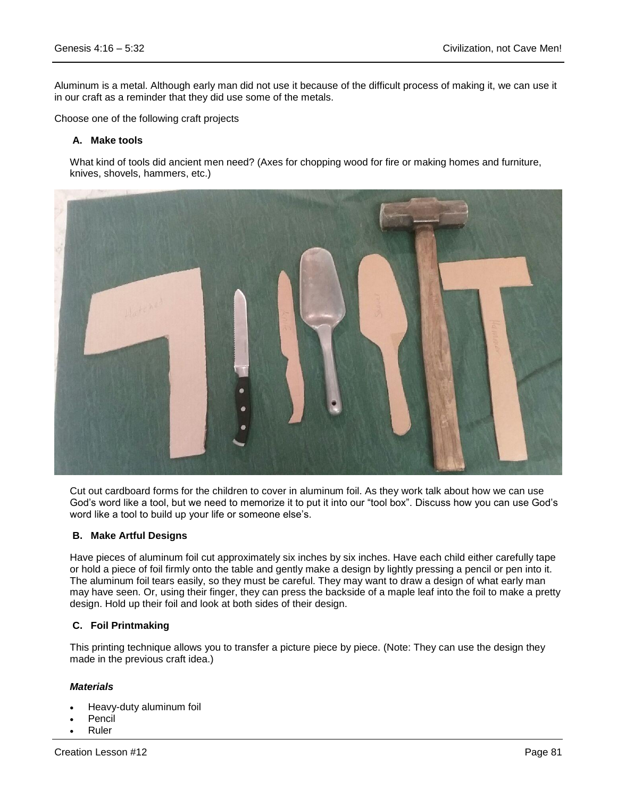Aluminum is a metal. Although early man did not use it because of the difficult process of making it, we can use it in our craft as a reminder that they did use some of the metals.

Choose one of the following craft projects

#### **A. Make tools**

What kind of tools did ancient men need? (Axes for chopping wood for fire or making homes and furniture, knives, shovels, hammers, etc.)



Cut out cardboard forms for the children to cover in aluminum foil. As they work talk about how we can use God's word like a tool, but we need to memorize it to put it into our "tool box". Discuss how you can use God's word like a tool to build up your life or someone else's.

#### **B. Make Artful Designs**

Have pieces of aluminum foil cut approximately six inches by six inches. Have each child either carefully tape or hold a piece of foil firmly onto the table and gently make a design by lightly pressing a pencil or pen into it. The aluminum foil tears easily, so they must be careful. They may want to draw a design of what early man may have seen. Or, using their finger, they can press the backside of a maple leaf into the foil to make a pretty design. Hold up their foil and look at both sides of their design.

#### **C. Foil Printmaking**

This printing technique allows you to transfer a picture piece by piece. (Note: They can use the design they made in the previous craft idea.)

#### *Materials*

- Heavy-duty aluminum foil
- Pencil
- Ruler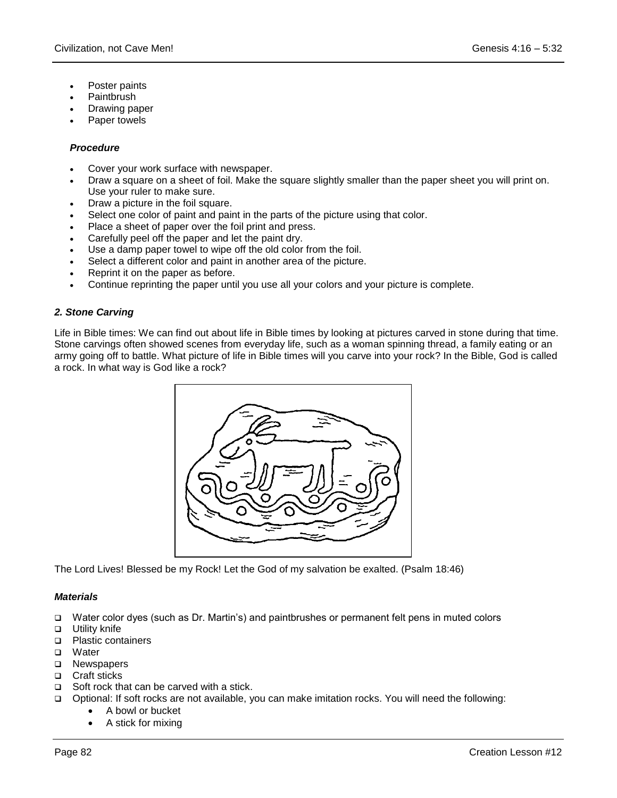- Poster paints
- Paintbrush
- Drawing paper
- Paper towels

### *Procedure*

- Cover your work surface with newspaper.
- Draw a square on a sheet of foil. Make the square slightly smaller than the paper sheet you will print on. Use your ruler to make sure.
- Draw a picture in the foil square.
- Select one color of paint and paint in the parts of the picture using that color.
- Place a sheet of paper over the foil print and press.
- Carefully peel off the paper and let the paint dry.
- Use a damp paper towel to wipe off the old color from the foil.
- Select a different color and paint in another area of the picture.
- Reprint it on the paper as before.
- Continue reprinting the paper until you use all your colors and your picture is complete.

## *2. Stone Carving*

Life in Bible times: We can find out about life in Bible times by looking at pictures carved in stone during that time. Stone carvings often showed scenes from everyday life, such as a woman spinning thread, a family eating or an army going off to battle. What picture of life in Bible times will you carve into your rock? In the Bible, God is called a rock. In what way is God like a rock?



The Lord Lives! Blessed be my Rock! Let the God of my salvation be exalted. (Psalm 18:46)

#### *Materials*

- Water color dyes (such as Dr. Martin's) and paintbrushes or permanent felt pens in muted colors
- **Utility knife**
- □ Plastic containers
- □ Water
- □ Newspapers
- □ Craft sticks
- $\Box$  Soft rock that can be carved with a stick.
- Optional: If soft rocks are not available, you can make imitation rocks. You will need the following:
	- A bowl or bucket
	- A stick for mixing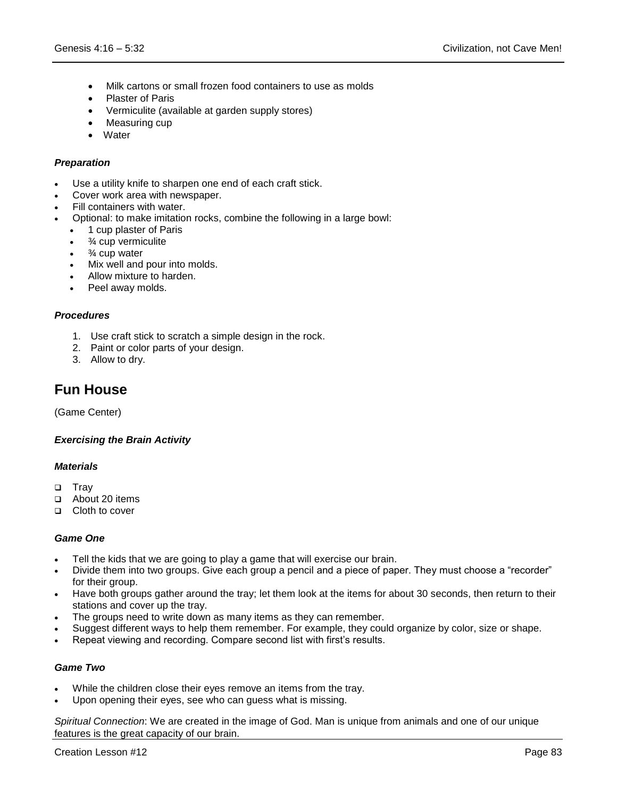- Milk cartons or small frozen food containers to use as molds
- Plaster of Paris
- Vermiculite (available at garden supply stores)
- Measuring cup
- Water

### *Preparation*

- Use a utility knife to sharpen one end of each craft stick.
- Cover work area with newspaper.
- Fill containers with water.
- Optional: to make imitation rocks, combine the following in a large bowl:
	- 1 cup plaster of Paris
	- ¾ cup vermiculite
	- $\cdot$   $\frac{3}{4}$  cup water
	- Mix well and pour into molds.
	- Allow mixture to harden.
	- Peel away molds.

### *Procedures*

- 1. Use craft stick to scratch a simple design in the rock.
- 2. Paint or color parts of your design.
- 3. Allow to dry.

# **Fun House**

(Game Center)

#### *Exercising the Brain Activity*

## *Materials*

- □ Tray
- About 20 items
- □ Cloth to cover

#### *Game One*

- Tell the kids that we are going to play a game that will exercise our brain.
- Divide them into two groups. Give each group a pencil and a piece of paper. They must choose a "recorder" for their group.
- Have both groups gather around the tray; let them look at the items for about 30 seconds, then return to their stations and cover up the tray.
- The groups need to write down as many items as they can remember.
- Suggest different ways to help them remember. For example, they could organize by color, size or shape.
- Repeat viewing and recording. Compare second list with first's results.

#### *Game Two*

- While the children close their eyes remove an items from the tray.
- Upon opening their eyes, see who can guess what is missing.

*Spiritual Connection*: We are created in the image of God. Man is unique from animals and one of our unique features is the great capacity of our brain.